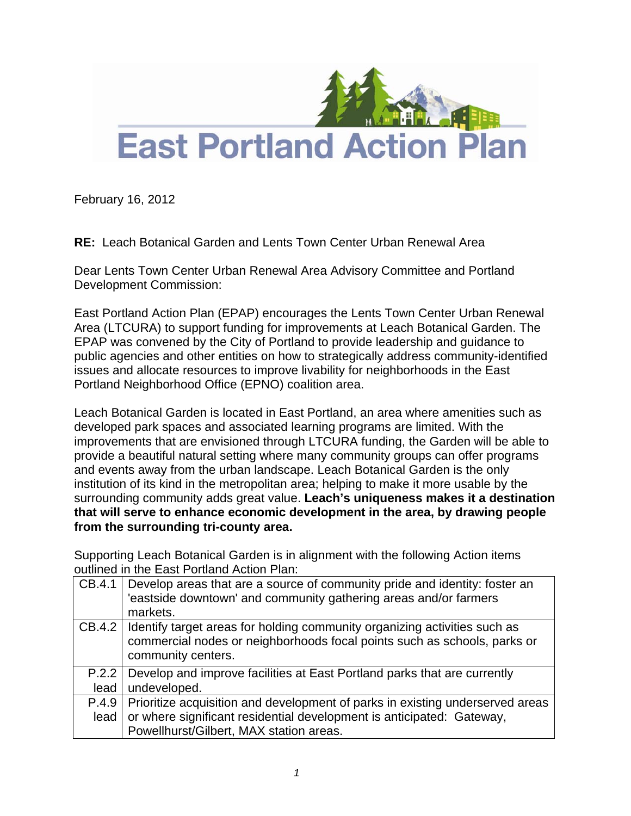

February 16, 2012

**RE:** Leach Botanical Garden and Lents Town Center Urban Renewal Area

Dear Lents Town Center Urban Renewal Area Advisory Committee and Portland Development Commission:

East Portland Action Plan (EPAP) encourages the Lents Town Center Urban Renewal Area (LTCURA) to support funding for improvements at Leach Botanical Garden. The EPAP was convened by the City of Portland to provide leadership and guidance to public agencies and other entities on how to strategically address community-identified issues and allocate resources to improve livability for neighborhoods in the East Portland Neighborhood Office (EPNO) coalition area.

Leach Botanical Garden is located in East Portland, an area where amenities such as developed park spaces and associated learning programs are limited. With the improvements that are envisioned through LTCURA funding, the Garden will be able to provide a beautiful natural setting where many community groups can offer programs and events away from the urban landscape. Leach Botanical Garden is the only institution of its kind in the metropolitan area; helping to make it more usable by the surrounding community adds great value. **Leach's uniqueness makes it a destination that will serve to enhance economic development in the area, by drawing people from the surrounding tri-county area.** 

Supporting Leach Botanical Garden is in alignment with the following Action items outlined in the East Portland Action Plan:

| CB.4.1 | Develop areas that are a source of community pride and identity: foster an<br>'eastside downtown' and community gathering areas and/or farmers<br>markets. |
|--------|------------------------------------------------------------------------------------------------------------------------------------------------------------|
| CB.4.2 | Identify target areas for holding community organizing activities such as                                                                                  |
|        | commercial nodes or neighborhoods focal points such as schools, parks or                                                                                   |
|        | community centers.                                                                                                                                         |
| P.2.2  | Develop and improve facilities at East Portland parks that are currently                                                                                   |
| lead   | undeveloped.                                                                                                                                               |
| P.4.9  | Prioritize acquisition and development of parks in existing underserved areas                                                                              |
| lead   | or where significant residential development is anticipated: Gateway,                                                                                      |
|        | Powellhurst/Gilbert, MAX station areas.                                                                                                                    |